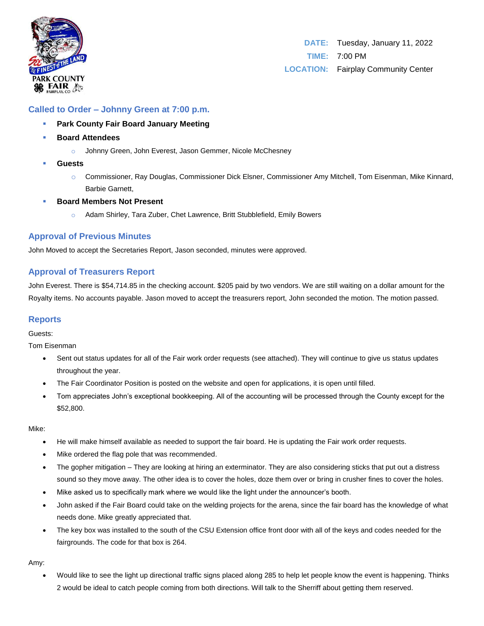

# **Called to Order – Johnny Green at 7:00 p.m.**

- **Park County Fair Board January Meeting**
- **Board Attendees** 
	- o Johnny Green, John Everest, Jason Gemmer, Nicole McChesney
- **Guests**
	- o Commissioner, Ray Douglas, Commissioner Dick Elsner, Commissioner Amy Mitchell, Tom Eisenman, Mike Kinnard, Barbie Garnett,
- **Board Members Not Present** 
	- Adam Shirley, Tara Zuber, Chet Lawrence, Britt Stubblefield, Emily Bowers

## **Approval of Previous Minutes**

John Moved to accept the Secretaries Report, Jason seconded, minutes were approved.

## **Approval of Treasurers Report**

John Everest. There is \$54,714.85 in the checking account. \$205 paid by two vendors. We are still waiting on a dollar amount for the Royalty items. No accounts payable. Jason moved to accept the treasurers report, John seconded the motion. The motion passed.

## **Reports**

Guests:

Tom Eisenman

- Sent out status updates for all of the Fair work order requests (see attached). They will continue to give us status updates throughout the year.
- The Fair Coordinator Position is posted on the website and open for applications, it is open until filled.
- Tom appreciates John's exceptional bookkeeping. All of the accounting will be processed through the County except for the \$52,800.

### Mike:

- He will make himself available as needed to support the fair board. He is updating the Fair work order requests.
- Mike ordered the flag pole that was recommended.
- The gopher mitigation They are looking at hiring an exterminator. They are also considering sticks that put out a distress sound so they move away. The other idea is to cover the holes, doze them over or bring in crusher fines to cover the holes.
- Mike asked us to specifically mark where we would like the light under the announcer's booth.
- John asked if the Fair Board could take on the welding projects for the arena, since the fair board has the knowledge of what needs done. Mike greatly appreciated that.
- The key box was installed to the south of the CSU Extension office front door with all of the keys and codes needed for the fairgrounds. The code for that box is 264.

Amy:

• Would like to see the light up directional traffic signs placed along 285 to help let people know the event is happening. Thinks 2 would be ideal to catch people coming from both directions. Will talk to the Sherriff about getting them reserved.